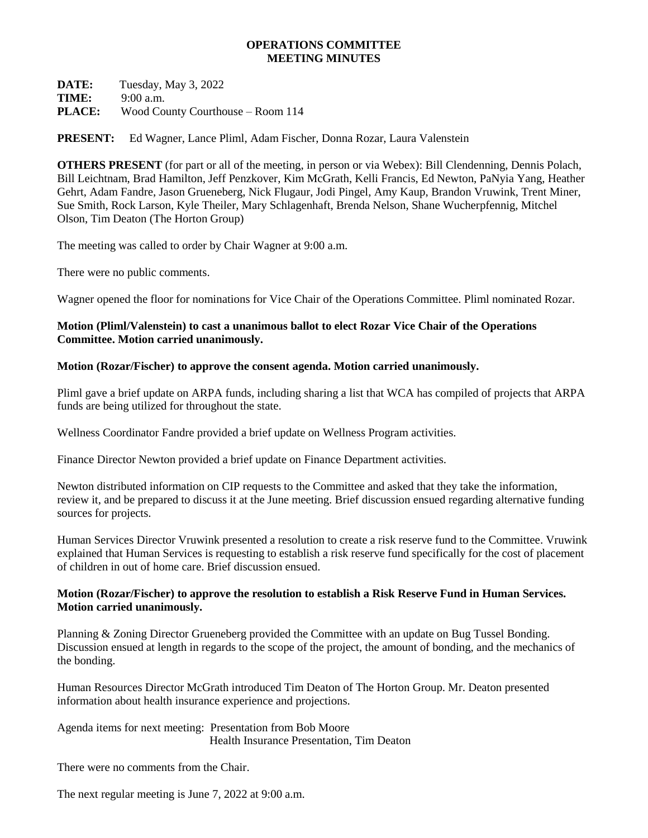## **OPERATIONS COMMITTEE MEETING MINUTES**

**DATE:** Tuesday, May 3, 2022 **TIME:** 9:00 a.m. **PLACE:** Wood County Courthouse – Room 114

**PRESENT:** Ed Wagner, Lance Pliml, Adam Fischer, Donna Rozar, Laura Valenstein

**OTHERS PRESENT** (for part or all of the meeting, in person or via Webex): Bill Clendenning, Dennis Polach, Bill Leichtnam, Brad Hamilton, Jeff Penzkover, Kim McGrath, Kelli Francis, Ed Newton, PaNyia Yang, Heather Gehrt, Adam Fandre, Jason Grueneberg, Nick Flugaur, Jodi Pingel, Amy Kaup, Brandon Vruwink, Trent Miner, Sue Smith, Rock Larson, Kyle Theiler, Mary Schlagenhaft, Brenda Nelson, Shane Wucherpfennig, Mitchel Olson, Tim Deaton (The Horton Group)

The meeting was called to order by Chair Wagner at 9:00 a.m.

There were no public comments.

Wagner opened the floor for nominations for Vice Chair of the Operations Committee. Pliml nominated Rozar.

## **Motion (Pliml/Valenstein) to cast a unanimous ballot to elect Rozar Vice Chair of the Operations Committee. Motion carried unanimously.**

## **Motion (Rozar/Fischer) to approve the consent agenda. Motion carried unanimously.**

Pliml gave a brief update on ARPA funds, including sharing a list that WCA has compiled of projects that ARPA funds are being utilized for throughout the state.

Wellness Coordinator Fandre provided a brief update on Wellness Program activities.

Finance Director Newton provided a brief update on Finance Department activities.

Newton distributed information on CIP requests to the Committee and asked that they take the information, review it, and be prepared to discuss it at the June meeting. Brief discussion ensued regarding alternative funding sources for projects.

Human Services Director Vruwink presented a resolution to create a risk reserve fund to the Committee. Vruwink explained that Human Services is requesting to establish a risk reserve fund specifically for the cost of placement of children in out of home care. Brief discussion ensued.

## **Motion (Rozar/Fischer) to approve the resolution to establish a Risk Reserve Fund in Human Services. Motion carried unanimously.**

Planning & Zoning Director Grueneberg provided the Committee with an update on Bug Tussel Bonding. Discussion ensued at length in regards to the scope of the project, the amount of bonding, and the mechanics of the bonding.

Human Resources Director McGrath introduced Tim Deaton of The Horton Group. Mr. Deaton presented information about health insurance experience and projections.

Agenda items for next meeting: Presentation from Bob Moore Health Insurance Presentation, Tim Deaton

There were no comments from the Chair.

The next regular meeting is June 7, 2022 at 9:00 a.m.